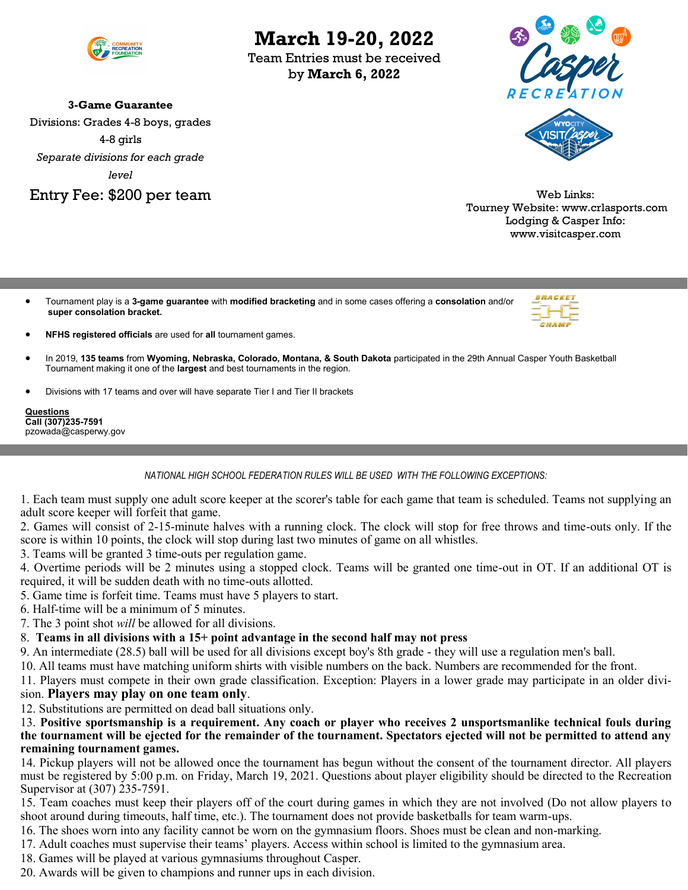

**3-Game Guarantee** Divisions: Grades 4-8 boys, grades 4-8 girls *Separate divisions for each grade level* Entry Fee: \$200 per team

## **March 19-20, 2022**

Team Entries must be received by **March 6, 2022**



Web Links: Tourney Website: www.crlasports.com Lodging & Casper Info: www.visitcasper.com

• Tournament play is a **3-game guarantee** with **modified bracketing** and in some cases offering a **consolation** and/or **super consolation bracket.**



- **NFHS registered officials** are used for **all** tournament games.
- In 2019, **135 teams** from **Wyoming, Nebraska, Colorado, Montana, & South Dakota** participated in the 29th Annual Casper Youth Basketball Tournament making it one of the **largest** and best tournaments in the region.
- Divisions with 17 teams and over will have separate Tier I and Tier II brackets

**Questions Call (307)235-7591** pzowada@casperwy.gov

*NATIONAL HIGH SCHOOL FEDERATION RULES WILL BE USED WITH THE FOLLOWING EXCEPTIONS:*

1. Each team must supply one adult score keeper at the scorer's table for each game that team is scheduled. Teams not supplying an adult score keeper will forfeit that game.

2. Games will consist of 2-15-minute halves with a running clock. The clock will stop for free throws and time-outs only. If the score is within 10 points, the clock will stop during last two minutes of game on all whistles.

3. Teams will be granted 3 time-outs per regulation game.

4. Overtime periods will be 2 minutes using a stopped clock. Teams will be granted one time-out in OT. If an additional OT is required, it will be sudden death with no time-outs allotted.

- 5. Game time is forfeit time. Teams must have 5 players to start.
- 6. Half-time will be a minimum of 5 minutes.
- 7. The 3 point shot *will* be allowed for all divisions.
- 8. **Teams in all divisions with a 15+ point advantage in the second half may not press**

9. An intermediate (28.5) ball will be used for all divisions except boy's 8th grade - they will use a regulation men's ball.

10. All teams must have matching uniform shirts with visible numbers on the back. Numbers are recommended for the front.

11. Players must compete in their own grade classification. Exception: Players in a lower grade may participate in an older division. **Players may play on one team only**.

12. Substitutions are permitted on dead ball situations only.

13. **Positive sportsmanship is a requirement. Any coach or player who receives 2 unsportsmanlike technical fouls during the tournament will be ejected for the remainder of the tournament. Spectators ejected will not be permitted to attend any remaining tournament games.** 

14. Pickup players will not be allowed once the tournament has begun without the consent of the tournament director. All players must be registered by 5:00 p.m. on Friday, March 19, 2021. Questions about player eligibility should be directed to the Recreation Supervisor at (307) 235-7591.

15. Team coaches must keep their players off of the court during games in which they are not involved (Do not allow players to shoot around during timeouts, half time, etc.). The tournament does not provide basketballs for team warm-ups.

16. The shoes worn into any facility cannot be worn on the gymnasium floors. Shoes must be clean and non-marking.

- 17. Adult coaches must supervise their teams' players. Access within school is limited to the gymnasium area.
- 18. Games will be played at various gymnasiums throughout Casper.
- 20. Awards will be given to champions and runner ups in each division.